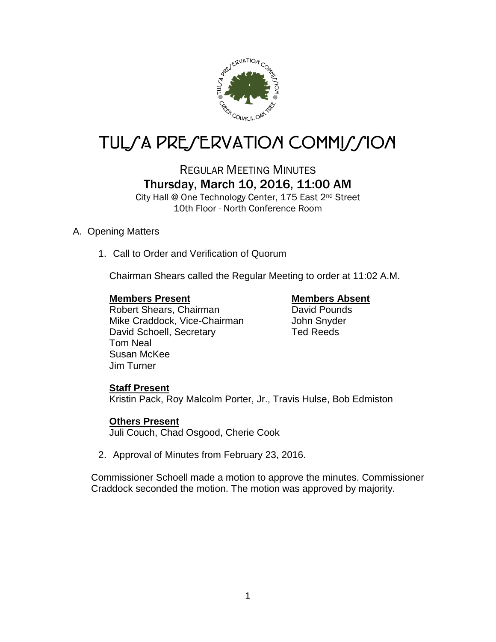

# TUL/A PRE/ERVATION COMMI*J*/ION

## REGULAR MEETING MINUTES Thursday, March 10, 2016, 11:00 AM

City Hall @ One Technology Center, 175 East 2nd Street 10th Floor - North Conference Room

### A. Opening Matters

1. Call to Order and Verification of Quorum

Chairman Shears called the Regular Meeting to order at 11:02 A.M.

#### **Members Present Members Absent**

Robert Shears, Chairman **David Pounds** Mike Craddock, Vice-Chairman John Snyder David Schoell, Secretary Ted Reeds Tom Neal Susan McKee Jim Turner

### **Staff Present**

Kristin Pack, Roy Malcolm Porter, Jr., Travis Hulse, Bob Edmiston

### **Others Present**

Juli Couch, Chad Osgood, Cherie Cook

2. Approval of Minutes from February 23, 2016.

Commissioner Schoell made a motion to approve the minutes. Commissioner Craddock seconded the motion. The motion was approved by majority.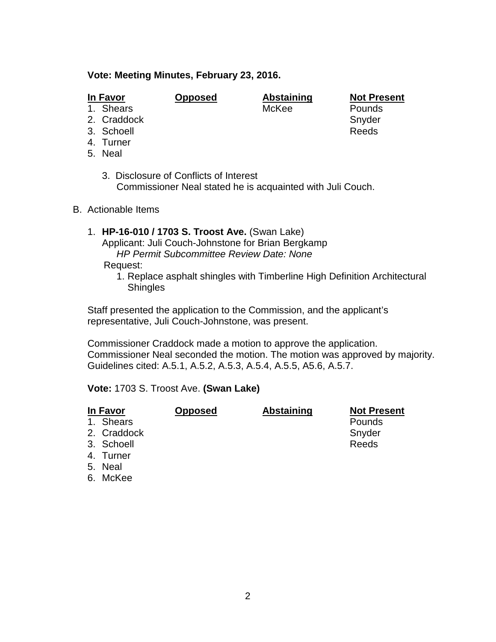#### **Vote: Meeting Minutes, February 23, 2016.**

- 1. Shears
- 2. Craddock Snyder
- 3. Schoell Reeds
- 4. Turner
- 5. Neal
	- 3. Disclosure of Conflicts of Interest Commissioner Neal stated he is acquainted with Juli Couch.
- B. Actionable Items
	- 1. **HP-16-010 / 1703 S. Troost Ave.** (Swan Lake) Applicant: Juli Couch-Johnstone for Brian Bergkamp *HP Permit Subcommittee Review Date: None*

Request:

1. Replace asphalt shingles with Timberline High Definition Architectural **Shingles** 

Staff presented the application to the Commission, and the applicant's representative, Juli Couch-Johnstone, was present.

Commissioner Craddock made a motion to approve the application. Commissioner Neal seconded the motion. The motion was approved by majority. Guidelines cited: A.5.1, A.5.2, A.5.3, A.5.4, A.5.5, A5.6, A.5.7.

#### **Vote:** 1703 S. Troost Ave. **(Swan Lake)**

| In Favor    | <b>Opposed</b> | <b>Abstaining</b> | <b>Not Present</b> |
|-------------|----------------|-------------------|--------------------|
| 1. Shears   |                |                   | Pounds             |
| 2. Craddock |                |                   | Snyder             |
| 3. Schoell  |                |                   | Reeds              |
| 4. Turner   |                |                   |                    |
| 5. Neal     |                |                   |                    |
| 6. McKee    |                |                   |                    |

**In Favor Opposed Abstaining Not Present**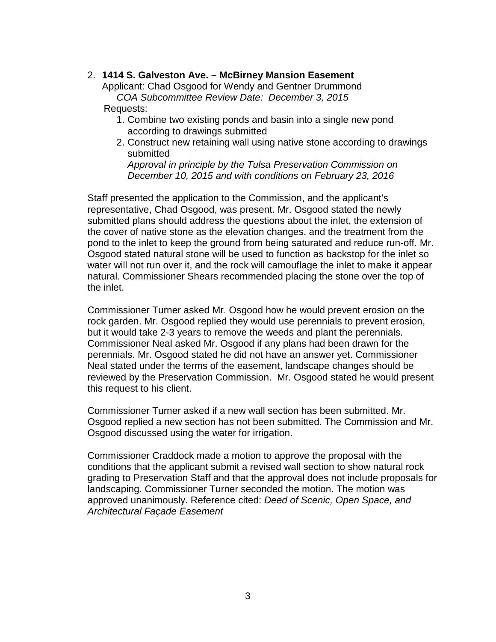#### 2. **1414 S. Galveston Ave. – McBirney Mansion Easement**

Applicant: Chad Osgood for Wendy and Gentner Drummond *COA Subcommittee Review Date: December 3, 2015* Requests:

- 1. Combine two existing ponds and basin into a single new pond according to drawings submitted
- 2. Construct new retaining wall using native stone according to drawings submitted

*Approval in principle by the Tulsa Preservation Commission on December 10, 2015 and with conditions on February 23, 2016*

Staff presented the application to the Commission, and the applicant's representative, Chad Osgood, was present. Mr. Osgood stated the newly submitted plans should address the questions about the inlet, the extension of the cover of native stone as the elevation changes, and the treatment from the pond to the inlet to keep the ground from being saturated and reduce run-off. Mr. Osgood stated natural stone will be used to function as backstop for the inlet so water will not run over it, and the rock will camouflage the inlet to make it appear natural. Commissioner Shears recommended placing the stone over the top of the inlet.

Commissioner Turner asked Mr. Osgood how he would prevent erosion on the rock garden. Mr. Osgood replied they would use perennials to prevent erosion, but it would take 2-3 years to remove the weeds and plant the perennials. Commissioner Neal asked Mr. Osgood if any plans had been drawn for the perennials. Mr. Osgood stated he did not have an answer yet. Commissioner Neal stated under the terms of the easement, landscape changes should be reviewed by the Preservation Commission. Mr. Osgood stated he would present this request to his client.

Commissioner Turner asked if a new wall section has been submitted. Mr. Osgood replied a new section has not been submitted. The Commission and Mr. Osgood discussed using the water for irrigation.

Commissioner Craddock made a motion to approve the proposal with the conditions that the applicant submit a revised wall section to show natural rock grading to Preservation Staff and that the approval does not include proposals for landscaping. Commissioner Turner seconded the motion. The motion was approved unanimously. Reference cited: *Deed of Scenic, Open Space, and Architectural Façade Easement*